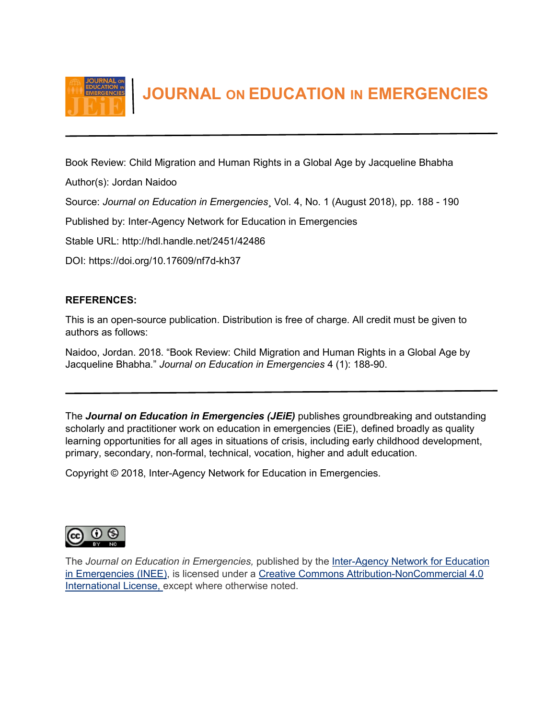

 **JOURNAL ON EDUCATION IN EMERGENCIES**

Book Review: Child Migration and Human Rights in a Global Age by Jacqueline Bhabha

Author(s): Jordan Naidoo

Source: *Journal on Education in Emergencies*¸ Vol. 4, No. 1 (August 2018), pp. 188 - 190

Published by: Inter-Agency Network for Education in Emergencies

Stable URL: http://hdl.handle.net/2451/42486

DOI: https://doi.org/10.17609/nf7d-kh37

## **REFERENCES:**

This is an open-source publication. Distribution is free of charge. All credit must be given to authors as follows:

Naidoo, Jordan. 2018. "Book Review: Child Migration and Human Rights in a Global Age by Jacqueline Bhabha." *Journal on Education in Emergencies* 4 (1): 188-90.

The *Journal on Education in Emergencies (JEiE)* publishes groundbreaking and outstanding scholarly and practitioner work on education in emergencies (EiE), defined broadly as quality learning opportunities for all ages in situations of crisis, including early childhood development, primary, secondary, non-formal, technical, vocation, higher and adult education.

Copyright © 2018, Inter-Agency Network for Education in Emergencies.



The *Journal on Education in Emergencies,* published by the Inter-Agency [Network for Education](http://www.ineesite.org/en/journal)  [in Emergencies \(INEE\),](http://www.ineesite.org/en/journal) is licensed under a [Creative Commons Attribution-NonCommercial 4.0](http://creativecommons.org/licenses/by-nc/4.0/)  [International License,](http://creativecommons.org/licenses/by-nc/4.0/) except where otherwise noted.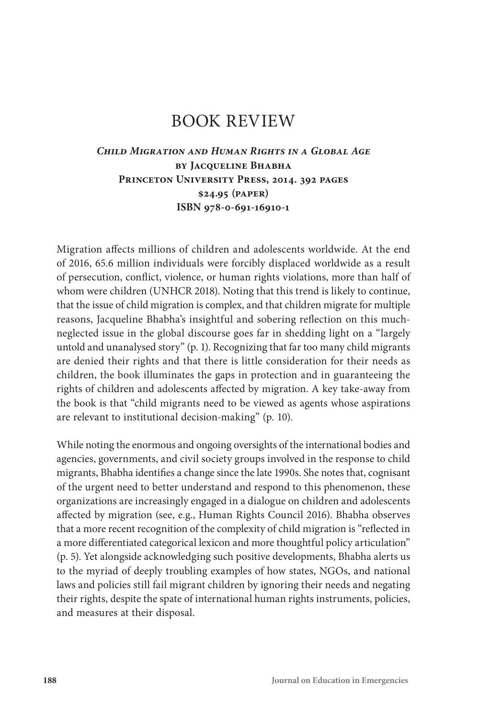# BOOK REVIEW

## *Child Migration and Human Rights in a Global Age* **by Jacqueline Bhabha Princeton University Press, 2014. 392 pages \$24.95 (paper) ISBN 978-0-691-16910-1**

Migration affects millions of children and adolescents worldwide. At the end of 2016, 65.6 million individuals were forcibly displaced worldwide as a result of persecution, conflict, violence, or human rights violations, more than half of whom were children (UNHCR 2018). Noting that this trend is likely to continue, that the issue of child migration is complex, and that children migrate for multiple reasons, Jacqueline Bhabha's insightful and sobering reflection on this muchneglected issue in the global discourse goes far in shedding light on a "largely untold and unanalysed story" (p. 1). Recognizing that far too many child migrants are denied their rights and that there is little consideration for their needs as children, the book illuminates the gaps in protection and in guaranteeing the rights of children and adolescents affected by migration. A key take-away from the book is that "child migrants need to be viewed as agents whose aspirations are relevant to institutional decision-making" (p. 10).

While noting the enormous and ongoing oversights of the international bodies and agencies, governments, and civil society groups involved in the response to child migrants, Bhabha identifies a change since the late 1990s. She notes that, cognisant of the urgent need to better understand and respond to this phenomenon, these organizations are increasingly engaged in a dialogue on children and adolescents affected by migration (see, e.g., Human Rights Council 2016). Bhabha observes that a more recent recognition of the complexity of child migration is "reflected in a more differentiated categorical lexicon and more thoughtful policy articulation" (p. 5). Yet alongside acknowledging such positive developments, Bhabha alerts us to the myriad of deeply troubling examples of how states, NGOs, and national laws and policies still fail migrant children by ignoring their needs and negating their rights, despite the spate of international human rights instruments, policies, and measures at their disposal.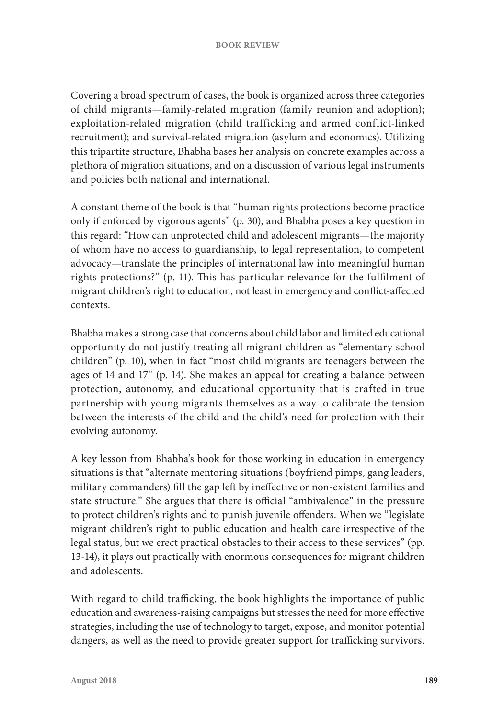Covering a broad spectrum of cases, the book is organized across three categories of child migrants—family-related migration (family reunion and adoption); exploitation-related migration (child trafficking and armed conflict-linked recruitment); and survival-related migration (asylum and economics). Utilizing this tripartite structure, Bhabha bases her analysis on concrete examples across a plethora of migration situations, and on a discussion of various legal instruments and policies both national and international.

A constant theme of the book is that "human rights protections become practice only if enforced by vigorous agents" (p. 30), and Bhabha poses a key question in this regard: "How can unprotected child and adolescent migrants—the majority of whom have no access to guardianship, to legal representation, to competent advocacy—translate the principles of international law into meaningful human rights protections?" (p. 11). This has particular relevance for the fulfilment of migrant children's right to education, not least in emergency and conflict-affected contexts.

Bhabha makes a strong case that concerns about child labor and limited educational opportunity do not justify treating all migrant children as "elementary school children" (p. 10), when in fact "most child migrants are teenagers between the ages of 14 and 17" (p. 14). She makes an appeal for creating a balance between protection, autonomy, and educational opportunity that is crafted in true partnership with young migrants themselves as a way to calibrate the tension between the interests of the child and the child's need for protection with their evolving autonomy.

A key lesson from Bhabha's book for those working in education in emergency situations is that "alternate mentoring situations (boyfriend pimps, gang leaders, military commanders) fill the gap left by ineffective or non-existent families and state structure." She argues that there is official "ambivalence" in the pressure to protect children's rights and to punish juvenile offenders. When we "legislate migrant children's right to public education and health care irrespective of the legal status, but we erect practical obstacles to their access to these services" (pp. 13-14), it plays out practically with enormous consequences for migrant children and adolescents.

With regard to child trafficking, the book highlights the importance of public education and awareness-raising campaigns but stresses the need for more effective strategies, including the use of technology to target, expose, and monitor potential dangers, as well as the need to provide greater support for trafficking survivors.